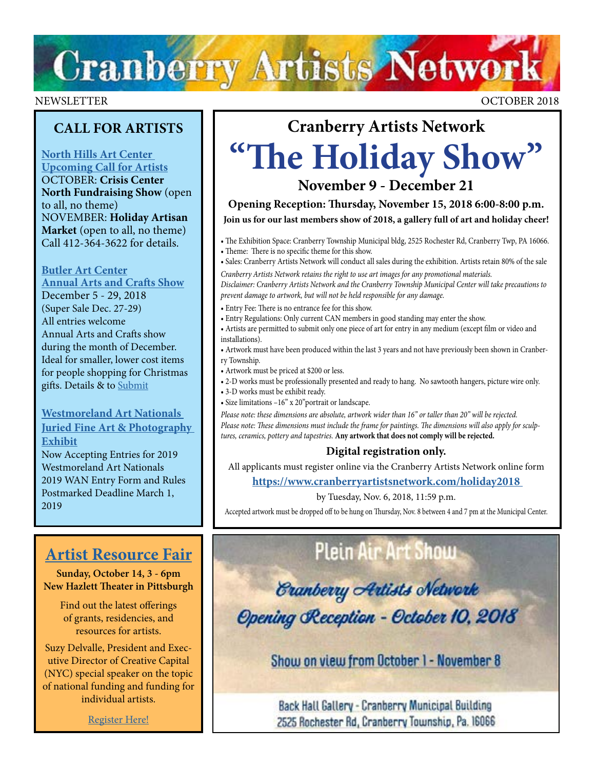# **Cranberry Artists Network**

## **CALL FOR ARTISTS**

## **[North Hills Art Center](http://www.northhillsartcenter.com/artists.html)  [Upcoming Call for Artists](http://www.northhillsartcenter.com/artists.html)**

OCTOBER: **Crisis Center North Fundraising Show** (open to all, no theme) NOVEMBER: **Holiday Artisan Market** (open to all, no theme) Call 412-364-3622 for details.

## **[Butler Art Center](http://butlerartcenter.org/art-shows-music-events.html)**

**[Annual Arts and Crafts Show](http://butlerartcenter.org/art-shows-music-events.html)** December 5 - 29, 2018 (Super Sale Dec. 27-29) All entries welcome Annual Arts and Crafts show during the month of December. Ideal for smaller, lower cost items for people shopping for Christmas [g](https://artsandheritage.com/the-arts/art-nationals/)ifts. Details & to [Submit](https://artsandheritage.com/the-arts/art-nationals/)

## **[Westmoreland Art Nationals](https://artsandheritage.com/the-arts/art-nationals/)  [Juried Fine Art & Photography](https://artsandheritage.com/the-arts/art-nationals/)  [Exhibit](https://artsandheritage.com/the-arts/art-nationals/)**

[Now Accepting Entries for 2019](https://artsandheritage.com/the-arts/art-nationals/)  [Westmoreland Art Nationals](https://artsandheritage.com/the-arts/art-nationals/) [2019 WAN Entry Form and Rules](https://artsandheritage.com/the-arts/art-nationals/) Postmarked Deadline March 1, 2019

## **[Artist Resource Fair](https://newhazletttheater.org/event/artist-resource-fair-2018/)**

**Sunday, October 14, 3 - 6pm New Hazlett Theater in Pittsburgh** 

> Find out the latest offerings of grants, residencies, and resources for artists.

Suzy Delvalle, President and Executive Director of Creative Capital (NYC) special speaker on the topic of national funding and funding for individual artists.

[Register Here!](http://www.pittsburghartscouncil.org/events-and-workshops-etc/gpacevents/event/628)

# **Cranberry Artists Network "The Holiday Show"**

**November 9 - December 21**

**Opening Reception: Thursday, November 15, 2018 6:00-8:00 p.m.**

**Join us for our last members show of 2018, a gallery full of art and holiday cheer!**

• The Exhibition Space: Cranberry Township Municipal bldg, 2525 Rochester Rd, Cranberry Twp, PA 16066. • Theme: There is no specific theme for this show.

• Sales: Cranberry Artists Network will conduct all sales during the exhibition. Artists retain 80% of the sale

*Cranberry Artists Network retains the right to use art images for any promotional materials. Disclaimer: Cranberry Artists Network and the Cranberry Township Municipal Center will take precautions to prevent damage to artwork, but will not be held responsible for any damage.*

- Entry Fee: There is no entrance fee for this show.
- Entry Regulations: Only current CAN members in good standing may enter the show.

• Artists are permitted to submit only one piece of art for entry in any medium (except film or video and installations).

• Artwork must have been produced within the last 3 years and not have previously been shown in Cranberry Township.

- Artwork must be priced at \$200 or less.
- 2-D works must be professionally presented and ready to hang. No sawtooth hangers, picture wire only.
- 3-D works must be exhibit ready.
- Size limitations –16" x 20"portrait or landscape.

*Please note: these dimensions are absolute, artwork wider than 16" or taller than 20" will be rejected. Please note: These dimensions must include the frame for paintings. The dimensions will also apply for sculptures, ceramics, pottery and tapestries.* **Any artwork that does not comply will be rejected.**

## **Digital registration only.**

All applicants must register online via the Cranberry Artists Network online form

**[https://www.cranberryartistsnetwork.com/holiday2018](https://www.cranberryartistsnetwork.com/holiday2018 )**

by Tuesday, Nov. 6, 2018, 11:59 p.m.

Accepted artwork must be dropped off to be hung on Thursday, Nov. 8 between 4 and 7 pm at the Municipal Center.

## **Plein Air Art Show**

*<u>Eranberry Artists</u>* Network Opening Reception - October 10, 2018

Show on view from October 1 - November 8

Back Hall Gallery - Cranberry Municipal Building 2525 Rochester Rd, Cranberry Township, Pa. 16066

NEWSLETTER OCTOBER 2018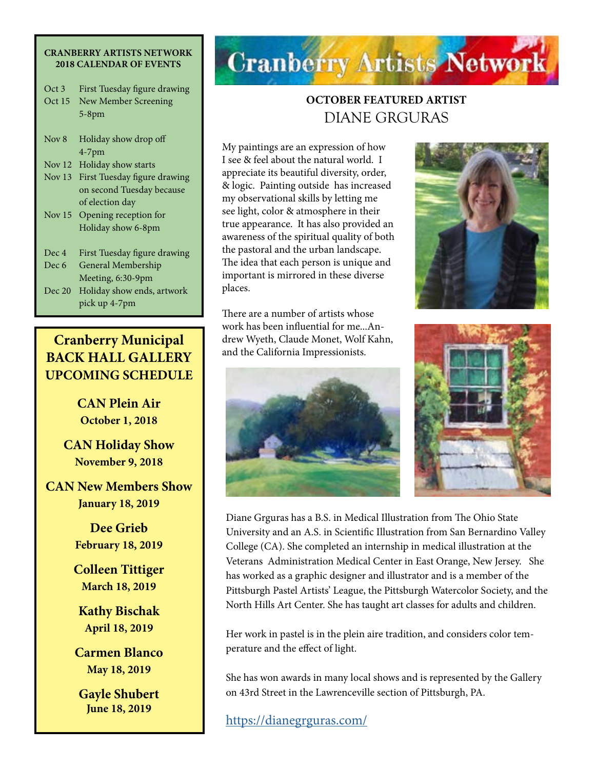#### **CRANBERRY ARTISTS NETWORK 2018 CALENDAR OF EVENTS**

| Oct 3    | First Tuesday figure drawing |
|----------|------------------------------|
| Oct 15   | New Member Screening         |
|          | $5-8$ pm                     |
| Nov 8    | Holiday show drop off        |
|          | $4-7$ pm                     |
| Nov $12$ | Holiday show starts          |
| Nov $13$ | First Tuesday figure drawing |
|          | on second Tuesday because    |
|          | of election day              |
| Nov $15$ | Opening reception for        |
|          | Holiday show 6-8pm           |
| Dec 4    | First Tuesday figure drawing |
| Dec 6    | General Membership           |
|          | Meeting, 6:30-9pm            |
| Dec 20   | Holiday show ends, artwork   |
|          | pick up 4-7pm                |

**Cranberry Municipal BACK HALL GALLERY UPCOMING SCHEDULE**

> **CAN Plein Air October 1, 2018**

**CAN Holiday Show November 9, 2018**

**CAN New Members Show January 18, 2019**

> **Dee Grieb February 18, 2019**

**Colleen Tittiger March 18, 2019**

**Kathy Bischak April 18, 2019**

**Carmen Blanco May 18, 2019**

**Gayle Shubert June 18, 2019**

# **Cranberry Artists Network**

## **OCTOBER FEATURED ARTIST**  DIANE GRGURAS

My paintings are an expression of how I see & feel about the natural world. I appreciate its beautiful diversity, order, & logic. Painting outside has increased my observational skills by letting me see light, color & atmosphere in their true appearance. It has also provided an awareness of the spiritual quality of both the pastoral and the urban landscape. The idea that each person is unique and important is mirrored in these diverse places.

There are a number of artists whose work has been influential for me...Andrew Wyeth, Claude Monet, Wolf Kahn, and the California Impressionists.







Diane Grguras has a B.S. in Medical Illustration from The Ohio State University and an A.S. in Scientific Illustration from San Bernardino Valley College (CA). She completed an internship in medical illustration at the Veterans Administration Medical Center in East Orange, New Jersey. She has worked as a graphic designer and illustrator and is a member of the Pittsburgh Pastel Artists' League, the Pittsburgh Watercolor Society, and the North Hills Art Center. She has taught art classes for adults and children.

Her work in pastel is in the plein aire tradition, and considers color temperature and the effect of light.

She has won awards in many local shows and is represented by the Gallery on 43rd Street in the Lawrenceville section of Pittsburgh, PA.

<https://dianegrguras.com/>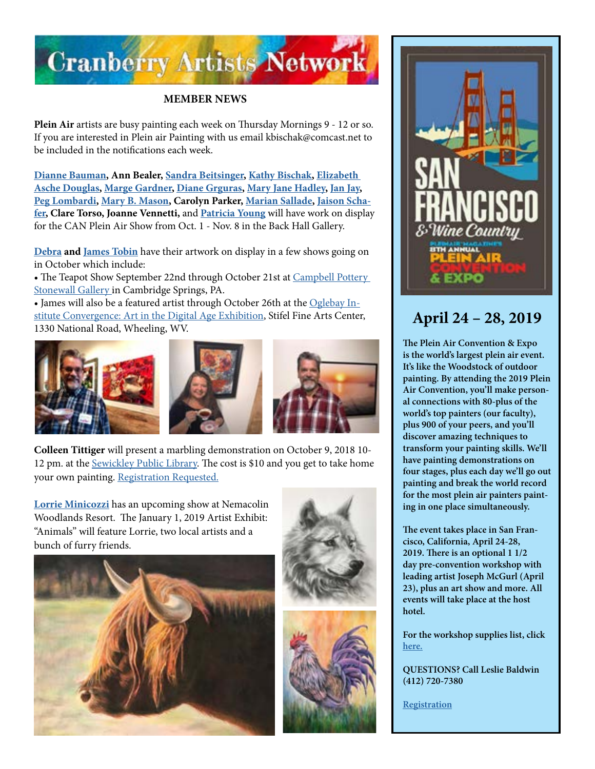

## **MEMBER NEWS**

**Plein Air** artists are busy painting each week on Thursday Mornings 9 - 12 or so. If you are interested in Plein air Painting with us email kbischak@comcast.net to be included in the notifications each week.

**[Dianne Bauman](http://www.diannebauman.com/), Ann Bealer, [Sandra Beitsinger,](https://www.facebook.com/pages/category/Artist/Artwork-by-Sandra-Beitsinger-1593379080977965/) [Kathy Bischak,](https://www.facebook.com/kathy.bischak) [Elizabeth](http://www.douglasartgallery.com/)  [Asche Douglas](http://www.douglasartgallery.com/), [Marge Gardner,](http://beavervalleyartists.org/Artist/gardner.html) [Diane Grguras](https://dianegrguras.com/), [Mary Jane Hadley,](https://www.facebook.com/maryjane.hadley) [Jan Jay](https://www.facebook.com/jan.jay.988), [Peg Lombardi](http://www.lombardiartstudio.com/), [Mary B. Mason,](https://www.facebook.com/mary.b.mason.9) Carolyn Parker, [Marian Sallade](http://galleryon43rdstreet.com/?page_id=339), [Jaison Scha](http://www.jaisonschafer.com/)[fer,](http://www.jaisonschafer.com/) Clare Torso, [Joanne Vennetti,](https://www.facebook.com/joannevennetti)** and **[Patricia Young](https://www.facebook.com/patricia.young.3975)** will have work on display for the CAN Plein Air Show from Oct. 1 - Nov. 8 in the Back Hall Gallery.

**[Debra](http://debratobinart.com) and [James Tobin](http://jamestobinart.com)** have their artwork on display in a few shows going on in October which include:

• The Teapot Show September 22nd through October 21st at Campbell Pottery [Stonewall Gallery](http://www.campbellpotterystore.com/events/event?date_time_id=956) in Cambridge Springs, PA.

• James will also be a featured artist through October 26th at the [Oglebay In](https://oionline.com/events/convergence-digital-art-exhibition-stifel-wheeling/)[stitute Convergence: Art in the Digital Age Exhibition](https://oionline.com/events/convergence-digital-art-exhibition-stifel-wheeling/), Stifel Fine Arts Center, 1330 National Road, Wheeling, WV.



**Colleen Tittiger** will present a marbling demonstration on October 9, 2018 10- 12 pm. at the [Sewickley Public Library.](https://sewickleylibrary.org/) The cost is \$10 and you get to take home your own painting. [Registration Requested.](https://issuu.com/sewickleypubliclibrary/docs/october_2018)

**[Lorrie Minicozzi](http://www.climbingthewalls.net/index.htm)** has an upcoming show at Nemacolin Woodlands Resort. The January 1, 2019 Artist Exhibit: "Animals" will feature Lorrie, two local artists and a bunch of furry friends.









## **April 24 – 28, 2019**

**The Plein Air Convention & Expo is the world's largest plein air event. It's like the Woodstock of outdoor painting. By attending the 2019 Plein Air Convention, you'll make personal connections with 80-plus of the world's top painters (our faculty), plus 900 of your peers, and you'll discover amazing techniques to transform your painting skills. We'll have painting demonstrations on four stages, plus each day we'll go out painting and break the world record for the most plein air painters painting in one place simultaneously.**

**The event takes place in San Francisco, California, April 24-28, 2019. There is an optional 1 1/2 day pre-convention workshop with leading artist Joseph McGurl (April 23), plus an art show and more. All events will take place at the host hotel.**

**For the workshop supplies list, click [here.](https://www.pittsburghwatercolorsociety.com/resources/Documents/Workshops/PWS_2018_Carter%20Watercolor%20Materials%20List.pdf)** 

**QUESTIONS? Call Leslie Baldwin (412) 720-7380**

**[Registration](https://streamlinepublishing.com/s/2019-plein-air-convention-and-expo-2/)**